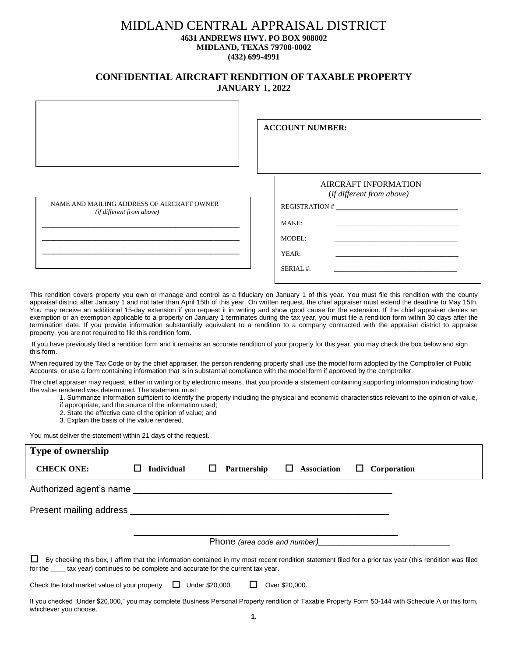## MIDLAND CENTRAL APPRAISAL DISTRICT **4631 ANDREWS HWY. PO BOX 908002 MIDLAND, TEXAS 79708-0002 (432) 699-4991**

## **CONFIDENTIAL AIRCRAFT RENDITION OF TAXABLE PROPERTY JANUARY 1, 2022**

|                                                                         | <b>ACCOUNT NUMBER:</b>                                                                           |
|-------------------------------------------------------------------------|--------------------------------------------------------------------------------------------------|
| NAME AND MAILING ADDRESS OF AIRCRAFT OWNER<br>(if different from above) | <b>AIRCRAFT INFORMATION</b><br>(if different from above)<br>MAKE:<br>MODEL:<br>YEAR:<br>SERIAL#: |

This rendition covers property you own or manage and control as a fiduciary on January 1 of this year. You must file this rendition with the county appraisal district after January 1 and not later than April 15th of this year. On written request, the chief appraiser must extend the deadline to May 15th. You may receive an additional 15-day extension if you request it in writing and show good cause for the extension. If the chief appraiser denies an exemption or an exemption applicable to a property on January 1 terminates during the tax year, you must file a rendition form within 30 days after the termination date. If you provide information substantially equivalent to a rendition to a company contracted with the appraisal district to appraise property, you are not required to file this rendition form.

If you have previously filed a rendition form and it remains an accurate rendition of your property for this year, you may check the box below and sign this form.

When required by the Tax Code or by the chief appraiser, the person rendering property shall use the model form adopted by the Comptroller of Public Accounts, or use a form containing information that is in substantial compliance with the model form if approved by the comptroller.

The chief appraiser may request, either in writing or by electronic means, that you provide a statement containing supporting information indicating how the value rendered was determined. The statement must:

- 1. Summarize information sufficient to identify the property including the physical and economic characteristics relevant to the opinion of value,
- if appropriate, and the source of the information used;
- 2. State the effective date of the opinion of value; and
- 3. Explain the basis of the value rendered.

You must deliver the statement within 21 days of the request.

| Type of ownership                                                                                                                                                                                                                                                 |  |                   |   |             |                |                    |   |             |
|-------------------------------------------------------------------------------------------------------------------------------------------------------------------------------------------------------------------------------------------------------------------|--|-------------------|---|-------------|----------------|--------------------|---|-------------|
| <b>CHECK ONE:</b>                                                                                                                                                                                                                                                 |  | <b>Individual</b> | ப | Partnership | ⊔.             | <b>Association</b> | ப | Corporation |
|                                                                                                                                                                                                                                                                   |  |                   |   |             |                |                    |   |             |
| Present mailing address <b>that the example of the contract of the contract of the contract of the contract of the contract of the contract of the contract of the contract of the contract of the contract of the contract of t</b>                              |  |                   |   |             |                |                    |   |             |
| Phone (area code and number)                                                                                                                                                                                                                                      |  |                   |   |             |                |                    |   |             |
| ப<br>By checking this box, I affirm that the information contained in my most recent rendition statement filed for a prior tax year (this rendition was filed<br>for the <u>seconal</u> tax year) continues to be complete and accurate for the current tax year. |  |                   |   |             |                |                    |   |             |
| Check the total market value of your property $\Box$ Under \$20,000                                                                                                                                                                                               |  |                   |   | ப           | Over \$20,000. |                    |   |             |
| $\mathbf{R}$ . The company of the contract of the contract of the contract of the contract of the contract of the contract of the contract of the contract of the contract of the contract of the contract of the contract of the                                 |  |                   |   |             |                |                    |   |             |

If you checked "Under \$20,000," you may complete Business Personal Property rendition of Taxable Property Form 50-144 with Schedule A or this form, whichever you choose.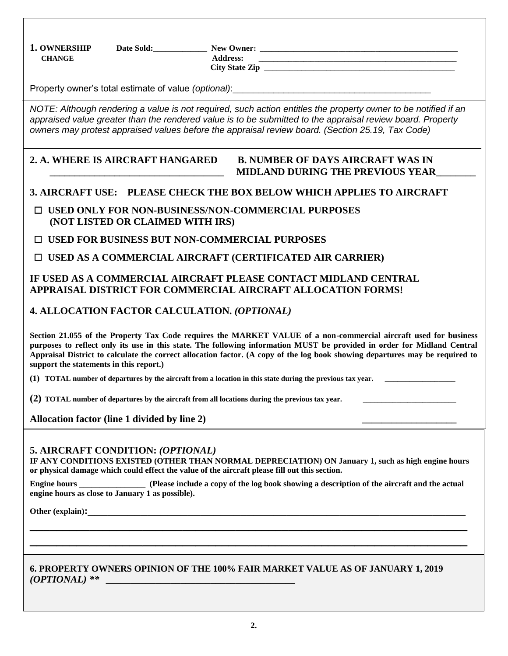**1. OWNERSHIP** Date Sold:\_\_\_\_\_\_\_\_\_\_\_\_\_\_\_\_ New Owner: \_\_\_\_\_\_\_\_\_\_\_\_\_\_\_\_\_\_\_\_\_\_\_\_\_\_\_\_  **CHANGE Address:** \_\_\_\_\_\_\_\_\_\_\_\_\_\_\_\_\_\_\_\_\_\_\_\_\_\_\_\_\_\_\_\_\_\_\_\_\_\_\_\_\_\_\_\_\_\_\_\_\_\_\_\_\_ City State Zip Property owner's total estimate of value *(optional)*:\_\_\_\_\_\_\_\_\_\_\_\_\_\_\_\_\_\_\_\_\_\_\_\_\_\_\_\_\_\_\_\_\_\_\_\_\_\_\_ *NOTE: Although rendering a value is not required, such action entitles the property owner to be notified if an appraised value greater than the rendered value is to be submitted to the appraisal review board. Property owners may protest appraised values before the appraisal review board. (Section 25.19, Tax Code)* **2. A. WHERE IS AIRCRAFT HANGARED B. NUMBER OF DAYS AIRCRAFT WAS IN \_\_\_\_\_\_\_\_\_\_\_\_\_\_\_\_\_\_\_\_\_\_\_\_\_\_\_\_\_\_\_\_\_\_\_ MIDLAND DURING THE PREVIOUS YEAR\_\_\_\_\_\_\_\_ 3. AIRCRAFT USE: PLEASE CHECK THE BOX BELOW WHICH APPLIES TO AIRCRAFT** □ **USED ONLY FOR NON-BUSINESS/NON-COMMERCIAL PURPOSES (NOT LISTED OR CLAIMED WITH IRS)** □ **USED FOR BUSINESS BUT NON-COMMERCIAL PURPOSES** □ **USED AS A COMMERCIAL AIRCRAFT (CERTIFICATED AIR CARRIER) IF USED AS A COMMERCIAL AIRCRAFT PLEASE CONTACT MIDLAND CENTRAL APPRAISAL DISTRICT FOR COMMERCIAL AIRCRAFT ALLOCATION FORMS! 4. ALLOCATION FACTOR CALCULATION.** *(OPTIONAL)* **Section 21.055 of the Property Tax Code requires the MARKET VALUE of a non-commercial aircraft used for business purposes to reflect only its use in this state. The following information MUST be provided in order for Midland Central Appraisal District to calculate the correct allocation factor. (A copy of the log book showing departures may be required to support the statements in this report.) (1) TOTAL number of departures by the aircraft from a location in this state during the previous tax year. \_\_\_\_\_\_\_\_\_\_\_\_\_\_\_\_\_ (2) TOTAL** number of departures by the aircraft from all locations during the previous tax year. Allocation factor (line 1 divided by line 2) **5. AIRCRAFT CONDITION:** *(OPTIONAL)* **IF ANY CONDITIONS EXISTED (OTHER THAN NORMAL DEPRECIATION) ON January 1, such as high engine hours or physical damage which could effect the value of the aircraft please fill out this section. Engine hours Engine hours** (Please include a copy of the log book showing a description of the aircraft and the actual **Please engine hours as close to January 1 as possible).**

**Other (explain):** 

## **6. PROPERTY OWNERS OPINION OF THE 100% FAIR MARKET VALUE AS OF JANUARY 1, 2019**  *(OPTIONAL) \*\* \_\_\_\_\_\_\_\_\_\_\_\_\_\_\_\_\_\_\_\_\_\_\_\_\_\_\_\_\_\_\_\_\_\_\_\_\_\_*

**\_\_\_\_\_\_\_\_\_\_\_\_\_\_\_\_\_\_\_\_\_\_\_\_\_\_\_\_\_\_\_\_\_\_\_\_\_\_\_\_\_\_\_\_\_\_\_\_\_\_\_\_\_\_\_\_\_\_\_\_\_\_\_\_\_\_ \_\_\_\_\_\_\_\_\_\_\_\_\_\_\_\_\_\_\_\_\_\_\_\_\_\_\_\_\_\_\_\_\_\_\_\_\_\_\_\_\_\_\_\_\_\_\_\_\_\_\_\_\_\_\_\_\_\_\_\_\_\_\_\_\_\_**